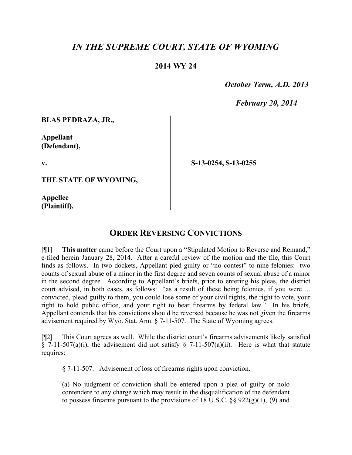## *IN THE SUPREME COURT, STATE OF WYOMING*

## **2014 WY 24**

 *October Term, A.D. 2013*

 *February 20, 2014*

**BLAS PEDRAZA, JR.,**

**Appellant (Defendant),**

**v.**

**S-13-0254, S-13-0255**

**THE STATE OF WYOMING,**

**Appellee (Plaintiff).**

## **ORDER REVERSING CONVICTIONS**

[¶1] **This matter** came before the Court upon a "Stipulated Motion to Reverse and Remand," e-filed herein January 28, 2014. After a careful review of the motion and the file, this Court finds as follows. In two dockets, Appellant pled guilty or "no contest" to nine felonies: two counts of sexual abuse of a minor in the first degree and seven counts of sexual abuse of a minor in the second degree. According to Appellant's briefs, prior to entering his pleas, the district court advised, in both cases, as follows: "as a result of these being felonies, if you were…. convicted, plead guilty to them, you could lose some of your civil rights, the right to vote, your right to hold public office, and your right to bear firearms by federal law." In his briefs, Appellant contends that his convictions should be reversed because he was not given the firearms advisement required by Wyo. Stat. Ann. § 7-11-507. The State of Wyoming agrees.

[¶2] This Court agrees as well. While the district court's firearms advisements likely satisfied § 7-11-507(a)(i), the advisement did not satisfy § 7-11-507(a)(ii). Here is what that statute requires:

§ 7-11-507. Advisement of loss of firearms rights upon conviction.

(a) No judgment of conviction shall be entered upon a plea of guilty or nolo contendere to any charge which may result in the disqualification of the defendant to possess firearms pursuant to the provisions of 18 U.S.C.  $\S$ § 922(g)(1), (9) and